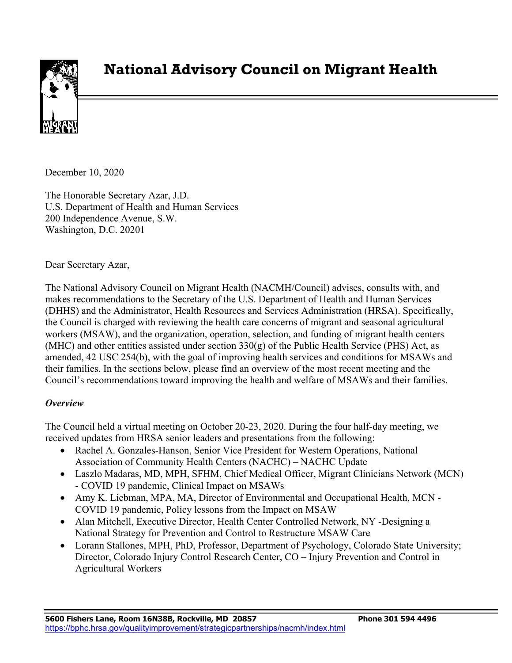

# **National Advisory Council on Migrant Health**

December 10, 2020

The Honorable Secretary Azar, J.D. U.S. Department of Health and Human Services 200 Independence Avenue, S.W. Washington, D.C. 20201

Dear Secretary Azar,

The National Advisory Council on Migrant Health (NACMH/Council) advises, consults with, and makes recommendations to the Secretary of the U.S. Department of Health and Human Services (DHHS) and the Administrator, Health Resources and Services Administration (HRSA). Specifically, the Council is charged with reviewing the health care concerns of migrant and seasonal agricultural workers (MSAW), and the organization, operation, selection, and funding of migrant health centers (MHC) and other entities assisted under section  $330(g)$  of the Public Health Service (PHS) Act, as amended, 42 USC 254(b), with the goal of improving health services and conditions for MSAWs and their families. In the sections below, please find an overview of the most recent meeting and the Council's recommendations toward improving the health and welfare of MSAWs and their families.

#### *Overview*

The Council held a virtual meeting on October 20-23, 2020. During the four half-day meeting, we received updates from HRSA senior leaders and presentations from the following:

- Rachel A. Gonzales-Hanson, Senior Vice President for Western Operations, National Association of Community Health Centers (NACHC) – NACHC Update
- Laszlo Madaras, MD, MPH, SFHM, Chief Medical Officer, Migrant Clinicians Network (MCN) - COVID 19 pandemic, Clinical Impact on MSAWs
- Amy K. Liebman, MPA, MA, Director of Environmental and Occupational Health, MCN COVID 19 pandemic, Policy lessons from the Impact on MSAW
- Alan Mitchell, Executive Director, Health Center Controlled Network, NY -Designing a National Strategy for Prevention and Control to Restructure MSAW Care
- Lorann Stallones, MPH, PhD, Professor, Department of Psychology, Colorado State University; Director, Colorado Injury Control Research Center, CO – Injury Prevention and Control in Agricultural Workers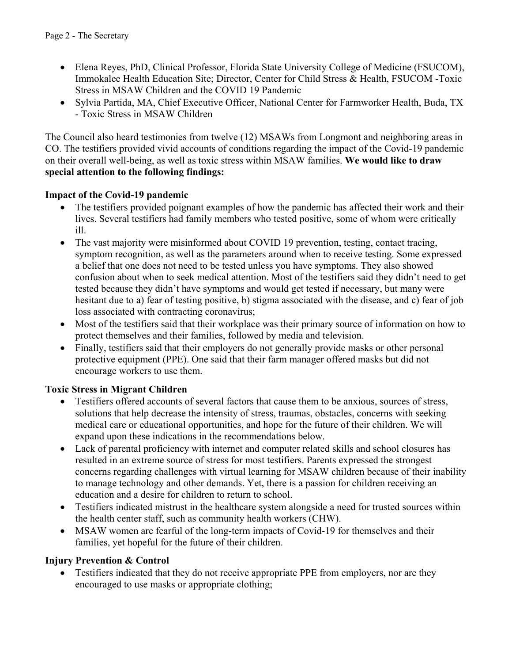- Elena Reyes, PhD, Clinical Professor, Florida State University College of Medicine (FSUCOM), Immokalee Health Education Site; Director, Center for Child Stress & Health, FSUCOM -Toxic Stress in MSAW Children and the COVID 19 Pandemic
- Sylvia Partida, MA, Chief Executive Officer, National Center for Farmworker Health, Buda, TX - Toxic Stress in MSAW Children

The Council also heard testimonies from twelve (12) MSAWs from Longmont and neighboring areas in CO. The testifiers provided vivid accounts of conditions regarding the impact of the Covid-19 pandemic on their overall well-being, as well as toxic stress within MSAW families. **We would like to draw special attention to the following findings:** 

# **Impact of the Covid-19 pandemic**

- The testifiers provided poignant examples of how the pandemic has affected their work and their lives. Several testifiers had family members who tested positive, some of whom were critically ill.
- The vast majority were misinformed about COVID 19 prevention, testing, contact tracing, symptom recognition, as well as the parameters around when to receive testing. Some expressed a belief that one does not need to be tested unless you have symptoms. They also showed confusion about when to seek medical attention. Most of the testifiers said they didn't need to get tested because they didn't have symptoms and would get tested if necessary, but many were hesitant due to a) fear of testing positive, b) stigma associated with the disease, and c) fear of job loss associated with contracting coronavirus;
- Most of the testifiers said that their workplace was their primary source of information on how to protect themselves and their families, followed by media and television.
- Finally, testifiers said that their employers do not generally provide masks or other personal protective equipment (PPE). One said that their farm manager offered masks but did not encourage workers to use them.

# **Toxic Stress in Migrant Children**

- Testifiers offered accounts of several factors that cause them to be anxious, sources of stress, solutions that help decrease the intensity of stress, traumas, obstacles, concerns with seeking medical care or educational opportunities, and hope for the future of their children. We will expand upon these indications in the recommendations below.
- Lack of parental proficiency with internet and computer related skills and school closures has resulted in an extreme source of stress for most testifiers. Parents expressed the strongest concerns regarding challenges with virtual learning for MSAW children because of their inability to manage technology and other demands. Yet, there is a passion for children receiving an education and a desire for children to return to school.
- Testifiers indicated mistrust in the healthcare system alongside a need for trusted sources within the health center staff, such as community health workers (CHW).
- MSAW women are fearful of the long-term impacts of Covid-19 for themselves and their families, yet hopeful for the future of their children.

#### **Injury Prevention & Control**

Testifiers indicated that they do not receive appropriate PPE from employers, nor are they encouraged to use masks or appropriate clothing;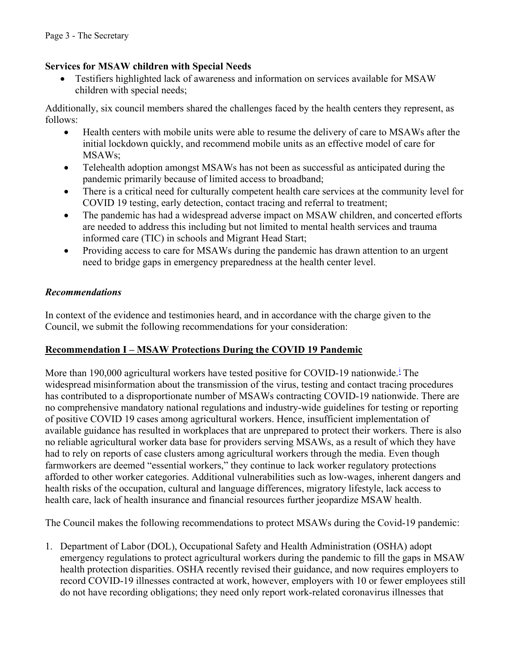#### **Services for MSAW children with Special Needs**

• Testifiers highlighted lack of awareness and information on services available for MSAW children with special needs;

Additionally, six council members shared the challenges faced by the health centers they represent, as follows:

- Health centers with mobile units were able to resume the delivery of care to MSAWs after the initial lockdown quickly, and recommend mobile units as an effective model of care for MSAWs;
- Telehealth adoption amongst MSAWs has not been as successful as anticipated during the pandemic primarily because of limited access to broadband;
- There is a critical need for culturally competent health care services at the community level for COVID 19 testing, early detection, contact tracing and referral to treatment;
- The pandemic has had a widespread adverse impact on MSAW children, and concerted efforts are needed to address this including but not limited to mental health services and trauma informed care (TIC) in schools and Migrant Head Start;
- Providing access to care for MSAWs during the pandemic has drawn attention to an urgent need to bridge gaps in emergency preparedness at the health center level.

## *Recommendations*

In context of the evidence and testimonies heard, and in accordance with the charge given to the Council, we submit the following recommendations for your consideration:

# **Recommendation I – MSAW Protections During the COVID 19 Pandemic**

More than 190,000 agr[i](#page-14-0)cultural workers have tested positive for COVID-19 nationwide.<sup>i</sup> The widespread misinformation about the transmission of the virus, testing and contact tracing procedures has contributed to a disproportionate number of MSAWs contracting COVID-19 nationwide. There are no comprehensive mandatory national regulations and industry-wide guidelines for testing or reporting of positive COVID 19 cases among agricultural workers. Hence, insufficient implementation of available guidance has resulted in workplaces that are unprepared to protect their workers. There is also no reliable agricultural worker data base for providers serving MSAWs, as a result of which they have had to rely on reports of case clusters among agricultural workers through the media. Even though farmworkers are deemed "essential workers," they continue to lack worker regulatory protections afforded to other worker categories. Additional vulnerabilities such as low-wages, inherent dangers and health risks of the occupation, cultural and language differences, migratory lifestyle, lack access to health care, lack of health insurance and financial resources further jeopardize MSAW health.

The Council makes the following recommendations to protect MSAWs during the Covid-19 pandemic:

1. Department of Labor (DOL), Occupational Safety and Health Administration (OSHA) adopt emergency regulations to protect agricultural workers during the pandemic to fill the gaps in MSAW health protection disparities. OSHA recently revised their guidance, and now requires employers to record COVID-19 illnesses contracted at work, however, employers with 10 or fewer employees still do not have recording obligations; they need only report work-related coronavirus illnesses that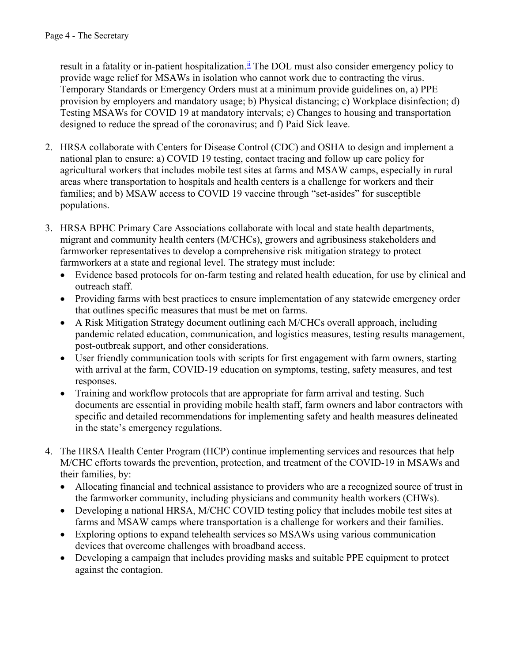result in a fatality or in-patient hospitalization.<sup>[ii](#page-14-1)</sup> The DOL must also consider emergency policy to provide wage relief for MSAWs in isolation who cannot work due to contracting the virus. Temporary Standards or Emergency Orders must at a minimum provide guidelines on, a) PPE provision by employers and mandatory usage; b) Physical distancing; c) Workplace disinfection; d) Testing MSAWs for COVID 19 at mandatory intervals; e) Changes to housing and transportation designed to reduce the spread of the coronavirus; and f) Paid Sick leave.

- 2. HRSA collaborate with Centers for Disease Control (CDC) and OSHA to design and implement a national plan to ensure: a) COVID 19 testing, contact tracing and follow up care policy for agricultural workers that includes mobile test sites at farms and MSAW camps, especially in rural areas where transportation to hospitals and health centers is a challenge for workers and their families; and b) MSAW access to COVID 19 vaccine through "set-asides" for susceptible populations.
- 3. HRSA BPHC Primary Care Associations collaborate with local and state health departments, migrant and community health centers (M/CHCs), growers and agribusiness stakeholders and farmworker representatives to develop a comprehensive risk mitigation strategy to protect farmworkers at a state and regional level. The strategy must include:
	- Evidence based protocols for on-farm testing and related health education, for use by clinical and outreach staff.
	- Providing farms with best practices to ensure implementation of any statewide emergency order that outlines specific measures that must be met on farms.
	- A Risk Mitigation Strategy document outlining each M/CHCs overall approach, including pandemic related education, communication, and logistics measures, testing results management, post-outbreak support, and other considerations.
	- User friendly communication tools with scripts for first engagement with farm owners, starting with arrival at the farm, COVID-19 education on symptoms, testing, safety measures, and test responses.
	- Training and workflow protocols that are appropriate for farm arrival and testing. Such documents are essential in providing mobile health staff, farm owners and labor contractors with specific and detailed recommendations for implementing safety and health measures delineated in the state's emergency regulations.
- 4. The HRSA Health Center Program (HCP) continue implementing services and resources that help M/CHC efforts towards the prevention, protection, and treatment of the COVID-19 in MSAWs and their families, by:
	- Allocating financial and technical assistance to providers who are a recognized source of trust in the farmworker community, including physicians and community health workers (CHWs).
	- Developing a national HRSA, M/CHC COVID testing policy that includes mobile test sites at farms and MSAW camps where transportation is a challenge for workers and their families.
	- Exploring options to expand telehealth services so MSAWs using various communication devices that overcome challenges with broadband access.
	- Developing a campaign that includes providing masks and suitable PPE equipment to protect against the contagion.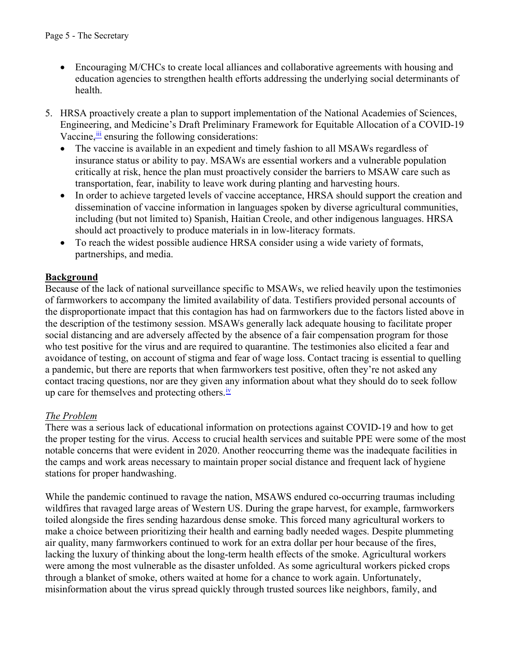- Encouraging M/CHCs to create local alliances and collaborative agreements with housing and education agencies to strengthen health efforts addressing the underlying social determinants of health.
- 5. HRSA proactively create a plan to support implementation of the National Academies of Sciences, Engineering, and Medicine's Draft Preliminary Framework for Equitable Allocation of a COVID-19 Vaccine, in ensuring the following considerations:
	- The vaccine is available in an expedient and timely fashion to all MSAWs regardless of insurance status or ability to pay. MSAWs are essential workers and a vulnerable population critically at risk, hence the plan must proactively consider the barriers to MSAW care such as transportation, fear, inability to leave work during planting and harvesting hours.
	- In order to achieve targeted levels of vaccine acceptance, HRSA should support the creation and dissemination of vaccine information in languages spoken by diverse agricultural communities, including (but not limited to) Spanish, Haitian Creole, and other indigenous languages. HRSA should act proactively to produce materials in in low-literacy formats.
	- To reach the widest possible audience HRSA consider using a wide variety of formats, partnerships, and media.

## **Background**

Because of the lack of national surveillance specific to MSAWs, we relied heavily upon the testimonies of farmworkers to accompany the limited availability of data. Testifiers provided personal accounts of the disproportionate impact that this contagion has had on farmworkers due to the factors listed above in the description of the testimony session. MSAWs generally lack adequate housing to facilitate proper social distancing and are adversely affected by the absence of a fair compensation program for those who test positive for the virus and are required to quarantine. The testimonies also elicited a fear and avoidance of testing, on account of stigma and fear of wage loss. Contact tracing is essential to quelling a pandemic, but there are reports that when farmworkers test positive, often they're not asked any contact tracing questions, nor are they given any information about what they should do to seek follow up care for themselves and protecting others.<sup>[iv](#page-14-2)</sup>

#### *The Problem*

There was a serious lack of educational information on protections against COVID-19 and how to get the proper testing for the virus. Access to crucial health services and suitable PPE were some of the most notable concerns that were evident in 2020. Another reoccurring theme was the inadequate facilities in the camps and work areas necessary to maintain proper social distance and frequent lack of hygiene stations for proper handwashing.

While the pandemic continued to ravage the nation, MSAWS endured co-occurring traumas including wildfires that ravaged large areas of Western US. During the grape harvest, for example, farmworkers toiled alongside the fires sending hazardous dense smoke. This forced many agricultural workers to make a choice between prioritizing their health and earning badly needed wages. Despite plummeting air quality, many farmworkers continued to work for an extra dollar per hour because of the fires, lacking the luxury of thinking about the long-term health effects of the smoke. Agricultural workers were among the most vulnerable as the disaster unfolded. As some agricultural workers picked crops through a blanket of smoke, others waited at home for a chance to work again. Unfortunately, misinformation about the virus spread quickly through trusted sources like neighbors, family, and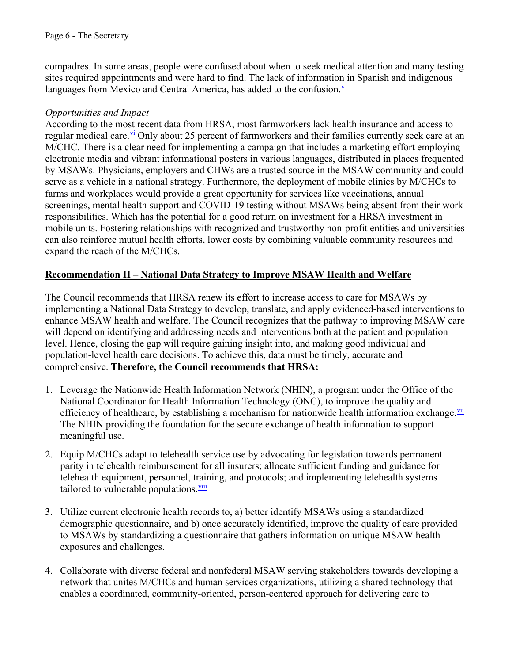compadres. In some areas, people were confused about when to seek medical attention and many testing sites required appointments and were hard to find. The lack of information in Spanish and indigenous languages from Mexico and Central America, has added to the confusion.<sup>[v](#page-14-5)</sup>

#### *Opportunities and Impact*

According to the most recent data from HRSA, most farmworkers lack health insurance and access to regular medical care. V<sup>i</sup> Only about 25 percent of farmworkers and their families currently seek care at an M/CHC. There is a clear need for implementing a campaign that includes a marketing effort employing electronic media and vibrant informational posters in various languages, distributed in places frequented by MSAWs. Physicians, employers and CHWs are a trusted source in the MSAW community and could serve as a vehicle in a national strategy. Furthermore, the deployment of mobile clinics by M/CHCs to farms and workplaces would provide a great opportunity for services like vaccinations, annual screenings, mental health support and COVID-19 testing without MSAWs being absent from their work responsibilities. Which has the potential for a good return on investment for a HRSA investment in mobile units. Fostering relationships with recognized and trustworthy non-profit entities and universities can also reinforce mutual health efforts, lower costs by combining valuable community resources and expand the reach of the M/CHCs.

#### **Recommendation II – National Data Strategy to Improve MSAW Health and Welfare**

The Council recommends that HRSA renew its effort to increase access to care for MSAWs by implementing a National Data Strategy to develop, translate, and apply evidenced-based interventions to enhance MSAW health and welfare. The Council recognizes that the pathway to improving MSAW care will depend on identifying and addressing needs and interventions both at the patient and population level. Hence, closing the gap will require gaining insight into, and making good individual and population-level health care decisions. To achieve this, data must be timely, accurate and comprehensive. **Therefore, the Council recommends that HRSA:**

- 1. Leverage the Nationwide Health Information Network (NHIN), a program under the Office of the National Coordinator for Health Information Technology (ONC), to improve the quality and efficiency of healthcare, by establishing a mechanism for nationwide health information exchange.<sup>[vii](#page-14-6)</sup> The NHIN providing the foundation for the secure exchange of health information to support meaningful use.
- 2. Equip M/CHCs adapt to telehealth service use by advocating for legislation towards permanent parity in telehealth reimbursement for all insurers; allocate sufficient funding and guidance for telehealth equipment, personnel, training, and protocols; and implementing telehealth systems tailored to vulnerable populations. $v<sub>iii</sub>$
- 3. Utilize current electronic health records to, a) better identify MSAWs using a standardized demographic questionnaire, and b) once accurately identified, improve the quality of care provided to MSAWs by standardizing a questionnaire that gathers information on unique MSAW health exposures and challenges.
- 4. Collaborate with diverse federal and nonfederal MSAW serving stakeholders towards developing a network that unites M/CHCs and human services organizations, utilizing a shared technology that enables a coordinated, community-oriented, person-centered approach for delivering care to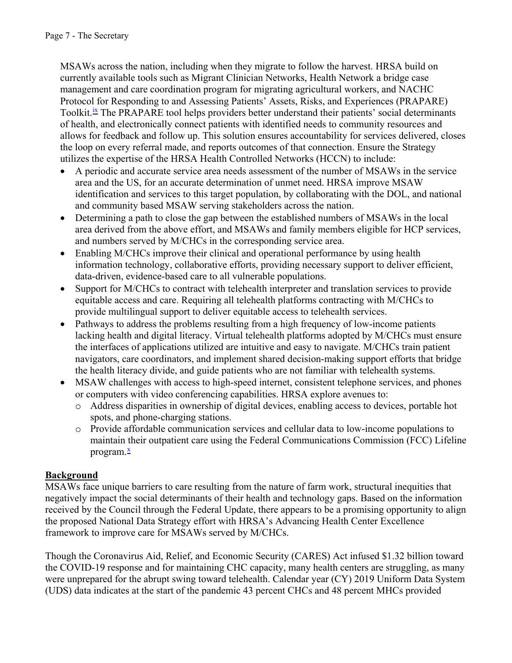MSAWs across the nation, including when they migrate to follow the harvest. HRSA build on currently available tools such as Migrant Clinician Networks, Health Network a bridge case management and care coordination program for migrating agricultural workers, and NACHC Protocol for Responding to and Assessing Patients' Assets, Risks, and Experiences (PRAPARE) Toolkit.<sup>[ix](#page-14-8)</sup> The PRAPARE tool helps providers better understand their patients' social determinants of health, and electronically connect patients with identified needs to community resources and allows for feedback and follow up. This solution ensures accountability for services delivered, closes the loop on every referral made, and reports outcomes of that connection. Ensure the Strategy utilizes the expertise of the HRSA Health Controlled Networks (HCCN) to include:

- A periodic and accurate service area needs assessment of the number of MSAWs in the service area and the US, for an accurate determination of unmet need. HRSA improve MSAW identification and services to this target population, by collaborating with the DOL, and national and community based MSAW serving stakeholders across the nation.
- Determining a path to close the gap between the established numbers of MSAWs in the local area derived from the above effort, and MSAWs and family members eligible for HCP services, and numbers served by M/CHCs in the corresponding service area.
- Enabling M/CHCs improve their clinical and operational performance by using health information technology, collaborative efforts, providing necessary support to deliver efficient, data-driven, evidence-based care to all vulnerable populations.
- Support for M/CHCs to contract with telehealth interpreter and translation services to provide equitable access and care. Requiring all telehealth platforms contracting with M/CHCs to provide multilingual support to deliver equitable access to telehealth services.
- Pathways to address the problems resulting from a high frequency of low-income patients lacking health and digital literacy. Virtual telehealth platforms adopted by M/CHCs must ensure the interfaces of applications utilized are intuitive and easy to navigate. M/CHCs train patient navigators, care coordinators, and implement shared decision-making support efforts that bridge the health literacy divide, and guide patients who are not familiar with telehealth systems.
- MSAW challenges with access to high-speed internet, consistent telephone services, and phones or computers with video conferencing capabilities. HRSA explore avenues to:
	- Address disparities in ownership of digital devices, enabling access to devices, portable hot spots, and phone-charging stations.
	- Provide affordable communication services and cellular data to low-income populations to maintain their outpatient care using the Federal Communications Commission (FCC) Lifeline program.<sup>[x](#page-14-9)</sup>

# **Background**

MSAWs face unique barriers to care resulting from the nature of farm work, structural inequities that negatively impact the social determinants of their health and technology gaps. Based on the information received by the Council through the Federal Update, there appears to be a promising opportunity to align the proposed National Data Strategy effort with HRSA's Advancing Health Center Excellence framework to improve care for MSAWs served by M/CHCs.

Though the Coronavirus Aid, Relief, and Economic Security (CARES) Act infused \$1.32 billion toward the COVID-19 response and for maintaining CHC capacity, many health centers are struggling, as many were unprepared for the abrupt swing toward telehealth. Calendar year (CY) 2019 Uniform Data System (UDS) data indicates at the start of the pandemic 43 percent CHCs and 48 percent MHCs provided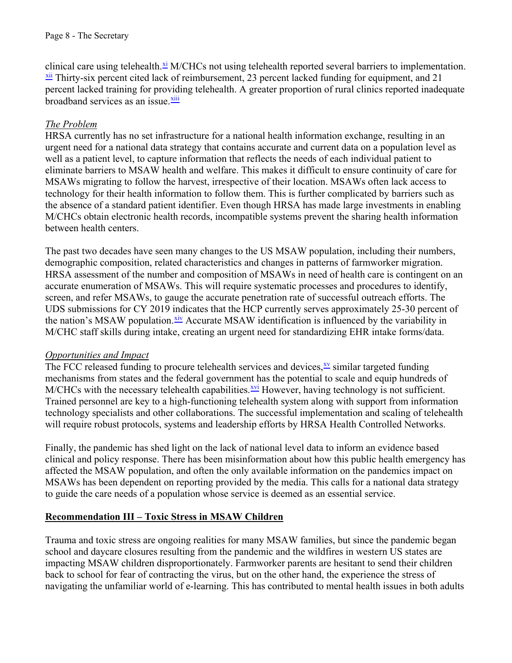clinical care using telehealth.<sup>[xi](#page-14-10)</sup> M/CHCs not using telehealth reported several barriers to implementation.  $\frac{xii}{}$  Thirty-six percent cited lack of reimbursement, 23 percent lacked funding for equipment, and 21 percent lacked training for providing telehealth. A greater proportion of rural clinics reported inadequate broadband services as an issue.<sup>xiii</sup>

## *The Problem*

HRSA currently has no set infrastructure for a national health information exchange, resulting in an urgent need for a national data strategy that contains accurate and current data on a population level as well as a patient level, to capture information that reflects the needs of each individual patient to eliminate barriers to MSAW health and welfare. This makes it difficult to ensure continuity of care for MSAWs migrating to follow the harvest, irrespective of their location. MSAWs often lack access to technology for their health information to follow them. This is further complicated by barriers such as the absence of a standard patient identifier. Even though HRSA has made large investments in enabling M/CHCs obtain electronic health records, incompatible systems prevent the sharing health information between health centers.

The past two decades have seen many changes to the US MSAW population, including their numbers, demographic composition, related characteristics and changes in patterns of farmworker migration. HRSA assessment of the number and composition of MSAWs in need of health care is contingent on an accurate enumeration of MSAWs. This will require systematic processes and procedures to identify, screen, and refer MSAWs, to gauge the accurate penetration rate of successful outreach efforts. The UDS submissions for CY 2019 indicates that the HCP currently serves approximately 25-30 percent of the nation's MSAW population.<sup>xiv</sup> Accurate MSAW identification is influenced by the variability in M/CHC staff skills during intake, creating an urgent need for standardizing EHR intake forms/data.

#### *Opportunities and Impact*

The FCC released funding to procure telehealth services and devices, [xv](#page-14-14) similar targeted funding mechanisms from states and the federal government has the potential to scale and equip hundreds of  $M/CHCs$  with the necessary telehealth capabilities.  $xvi$  However, having technology is not sufficient. Trained personnel are key to a high-functioning telehealth system along with support from information technology specialists and other collaborations. The successful implementation and scaling of telehealth will require robust protocols, systems and leadership efforts by HRSA Health Controlled Networks.

Finally, the pandemic has shed light on the lack of national level data to inform an evidence based clinical and policy response. There has been misinformation about how this public health emergency has affected the MSAW population, and often the only available information on the pandemics impact on MSAWs has been dependent on reporting provided by the media. This calls for a national data strategy to guide the care needs of a population whose service is deemed as an essential service.

#### **Recommendation III – Toxic Stress in MSAW Children**

impacting MSAW children disproportionately. Farmworker parents are hesitant to send their children Trauma and toxic stress are ongoing realities for many MSAW families, but since the pandemic began school and daycare closures resulting from the pandemic and the wildfires in western US states are back to school for fear of contracting the virus, but on the other hand, the experience the stress of navigating the unfamiliar world of e-learning. This has contributed to mental health issues in both adults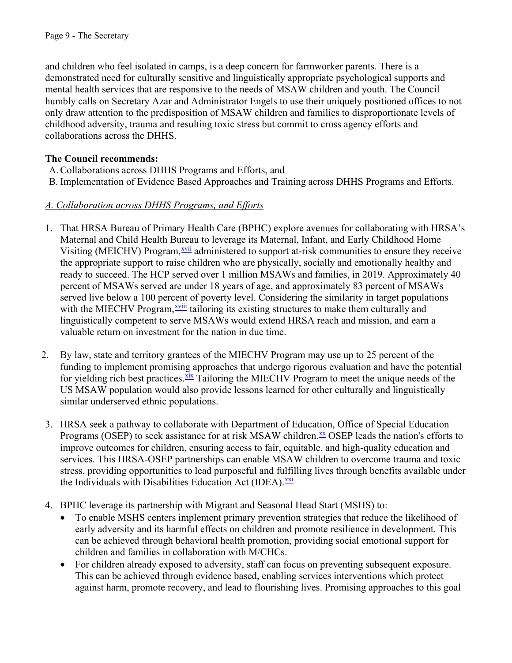and children who feel isolated in camps, is a deep concern for farmworker parents. There is a demonstrated need for culturally sensitive and linguistically appropriate psychological supports and mental health services that are responsive to the needs of MSAW children and youth. The Council humbly calls on Secretary Azar and Administrator Engels to use their uniquely positioned offices to not only draw attention to the predisposition of MSAW children and families to disproportionate levels of childhood adversity, trauma and resulting toxic stress but commit to cross agency efforts and collaborations across the DHHS.

## **The Council recommends:**

- A.Collaborations across DHHS Programs and Efforts, and
- B. Implementation of Evidence Based Approaches and Training across DHHS Programs and Efforts.

#### *A. Collaboration across DHHS Programs, and Efforts*

- 1. That HRSA Bureau of Primary Health Care (BPHC) explore avenues for collaborating with HRSA's Maternal and Child Health Bureau to leverage its Maternal, Infant, and Early Childhood Home Visiting (MEICHV) Program,<sup>[xvii](#page-14-16)</sup> administered to support at-risk communities to ensure they receive the appropriate support to raise children who are physically, socially and emotionally healthy and ready to succeed. The HCP served over 1 million MSAWs and families, in 2019. Approximately 40 percent of MSAWs served are under 18 years of age, and approximately 83 percent of MSAWs served live below a 100 percent of poverty level. Considering the similarity in target populations with the MIECHV Program,<sup>xviii</sup> tailoring its existing structures to make them culturally and linguistically competent to serve MSAWs would extend HRSA reach and mission, and earn a valuable return on investment for the nation in due time.
- 2. By law, state and territory grantees of the MIECHV Program may use up to 25 percent of the funding to implement promising approaches that undergo rigorous evaluation and have the potential for yielding rich best practices.<sup>xix</sup> Tailoring the MIECHV Program to meet the unique needs of the US MSAW population would also provide lessons learned for other culturally and linguistically similar underserved ethnic populations.
- 3. HRSA seek a pathway to collaborate with Department of Education, Office of Special Education Programs (OSEP) to seek assistance for at risk MSAW children. $\frac{xx}{x}$  OSEP leads the nation's efforts to improve outcomes for children, ensuring access to fair, equitable, and high-quality education and services. This HRSA-OSEP partnerships can enable MSAW children to overcome trauma and toxic stress, providing opportunities to lead purposeful and fulfilling lives through benefits available under the Individuals with Disabilities Education Act (IDEA).<sup>[xxi](#page-14-20)</sup>
- 4. BPHC leverage its partnership with Migrant and Seasonal Head Start (MSHS) to:
	- To enable MSHS centers implement primary prevention strategies that reduce the likelihood of early adversity and its harmful effects on children and promote resilience in development. This can be achieved through behavioral health promotion, providing social emotional support for children and families in collaboration with M/CHCs.
	- For children already exposed to adversity, staff can focus on preventing subsequent exposure. This can be achieved through evidence based, enabling services interventions which protect against harm, promote recovery, and lead to flourishing lives. Promising approaches to this goal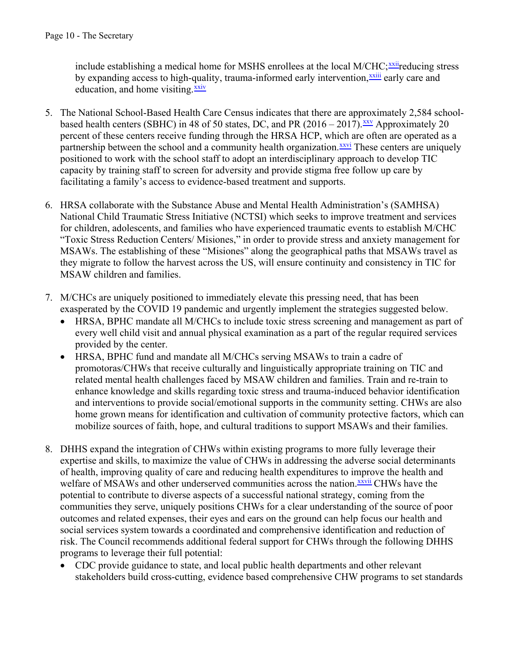include establishing a medical home for MSHS enrollees at the local M/CHC;<sup>[xxii](#page-14-22)</sup>reducing stress by expanding access to high-quality, trauma-informed early intervention,<sup>[xxiii](#page-14-23)</sup> early care and education, and home visiting. $\frac{xxiv}{}$  $\frac{xxiv}{}$  $\frac{xxiv}{}$ 

- 5. The National School-Based Health Care Census indicates that there are approximately 2,584 schoolbased health centers (SBHC) in 48 of 50 states, DC, and PR  $(2016 - 2017)$ . XXV Approximately 20 percent of these centers receive funding through the HRSA HCP, which are often are operated as a partnership between the school and a community health organization.<sup>[xxvi](#page-14-26)</sup> These centers are uniquely positioned to work with the school staff to adopt an interdisciplinary approach to develop TIC capacity by training staff to screen for adversity and provide stigma free follow up care by facilitating a family's access to evidence-based treatment and supports.
- 6. HRSA collaborate with the Substance Abuse and Mental Health Administration's (SAMHSA) National Child Traumatic Stress Initiative (NCTSI) which seeks to improve treatment and services for children, adolescents, and families who have experienced traumatic events to establish M/CHC "Toxic Stress Reduction Centers/ Misiones," in order to provide stress and anxiety management for MSAWs. The establishing of these "Misiones" along the geographical paths that MSAWs travel as they migrate to follow the harvest across the US, will ensure continuity and consistency in TIC for MSAW children and families.
- 7. M/CHCs are uniquely positioned to immediately elevate this pressing need, that has been exasperated by the COVID 19 pandemic and urgently implement the strategies suggested below.
	- HRSA, BPHC mandate all M/CHCs to include toxic stress screening and management as part of every well child visit and annual physical examination as a part of the regular required services provided by the center.
	- HRSA, BPHC fund and mandate all M/CHCs serving MSAWs to train a cadre of promotoras/CHWs that receive culturally and linguistically appropriate training on TIC and related mental health challenges faced by MSAW children and families. Train and re-train to enhance knowledge and skills regarding toxic stress and trauma-induced behavior identification and interventions to provide social/emotional supports in the community setting. CHWs are also home grown means for identification and cultivation of community protective factors, which can mobilize sources of faith, hope, and cultural traditions to support MSAWs and their families.
- 8. DHHS expand the integration of CHWs within existing programs to more fully leverage their expertise and skills, to maximize the value of CHWs in addressing the adverse social determinants of health, improving quality of care and reducing health expenditures to improve the health and welfare of MSAWs and other underserved communities across the nation. XXVII CHWs have the potential to contribute to diverse aspects of a successful national strategy, coming from the communities they serve, uniquely positions CHWs for a clear understanding of the source of poor outcomes and related expenses, their eyes and ears on the ground can help focus our health and social services system towards a coordinated and comprehensive identification and reduction of risk. The Council recommends additional federal support for CHWs through the following DHHS programs to leverage their full potential:
	- CDC provide guidance to state, and local public health departments and other relevant stakeholders build cross-cutting, evidence based comprehensive CHW programs to set standards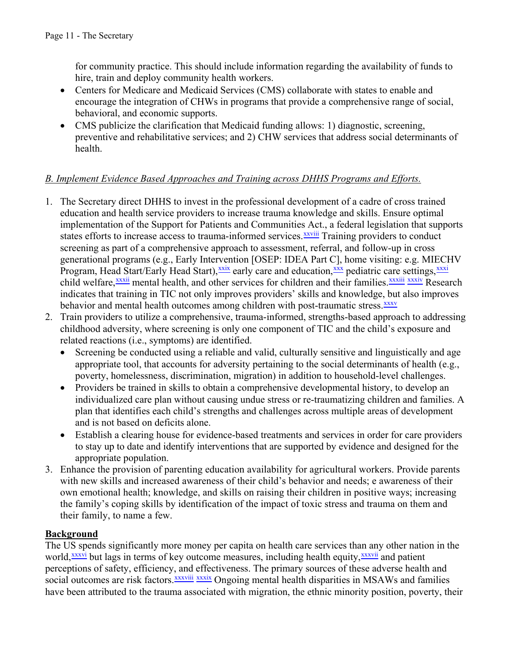for community practice. This should include information regarding the availability of funds to hire, train and deploy community health workers.

- Centers for Medicare and Medicaid Services (CMS) collaborate with states to enable and encourage the integration of CHWs in programs that provide a comprehensive range of social, behavioral, and economic supports.
- CMS publicize the clarification that Medicaid funding allows: 1) diagnostic, screening, preventive and rehabilitative services; and 2) CHW services that address social determinants of health.

## *B. Implement Evidence Based Approaches and Training across DHHS Programs and Efforts.*

- 1. The Secretary direct DHHS to invest in the professional development of a cadre of cross trained education and health service providers to increase trauma knowledge and skills. Ensure optimal implementation of the Support for Patients and Communities Act., a federal legislation that supports states efforts to increase access to trauma-informed services.<sup>xxviii</sup> Training providers to conduct screening as part of a comprehensive approach to assessment, referral, and follow-up in cross generational programs (e.g., Early Intervention [OSEP: IDEA Part C], home visiting: e.g. MIECHV Program, Head Start/Early Head Start),<sup>[xxix](#page-14-28)</sup> early care and education,<sup>[xxx](#page-14-29)</sup> pediatric care settings,<sup>[xxxi](#page-14-30)</sup> child welfare,<sup>[xxxii](#page-14-33)</sup> mental health, and other services for children and their families.<sup>[xxxiii](#page-14-31)</sup> [xxxiv](#page-14-32) Research indicates that training in TIC not only improves providers' skills and knowledge, but also improves behavior and mental health outcomes among children with post-traumatic stress.<sup>[xxxv](#page-14-34)</sup>
- 2. Train providers to utilize a comprehensive, trauma-informed, strengths-based approach to addressing childhood adversity, where screening is only one component of TIC and the child's exposure and related reactions (i.e., symptoms) are identified.
	- Screening be conducted using a reliable and valid, culturally sensitive and linguistically and age appropriate tool, that accounts for adversity pertaining to the social determinants of health (e.g., poverty, homelessness, discrimination, migration) in addition to household-level challenges.
	- Providers be trained in skills to obtain a comprehensive developmental history, to develop an individualized care plan without causing undue stress or re-traumatizing children and families. A plan that identifies each child's strengths and challenges across multiple areas of development and is not based on deficits alone.
	- Establish a clearing house for evidence-based treatments and services in order for care providers to stay up to date and identify interventions that are supported by evidence and designed for the appropriate population.
- 3. Enhance the provision of parenting education availability for agricultural workers. Provide parents with new skills and increased awareness of their child's behavior and needs; e awareness of their own emotional health; knowledge, and skills on raising their children in positive ways; increasing the family's coping skills by identification of the impact of toxic stress and trauma on them and their family, to name a few.

#### **Background**

The US spends significantly more money per capita on health care services than any other nation in the world,<sup>xxxvi</sup> but lags in terms of key outcome measures, including health equity,<sup>[xxxvii](#page-14-21)</sup> and patient perceptions of safety, efficiency, and effectiveness. The primary sources of these adverse health and social outcomes are risk factors.<sup>[xxxviii](#page-14-35)</sup> [xxxix](#page-15-0) Ongoing mental health disparities in MSAWs and families have been attributed to the trauma associated with migration, the ethnic minority position, poverty, their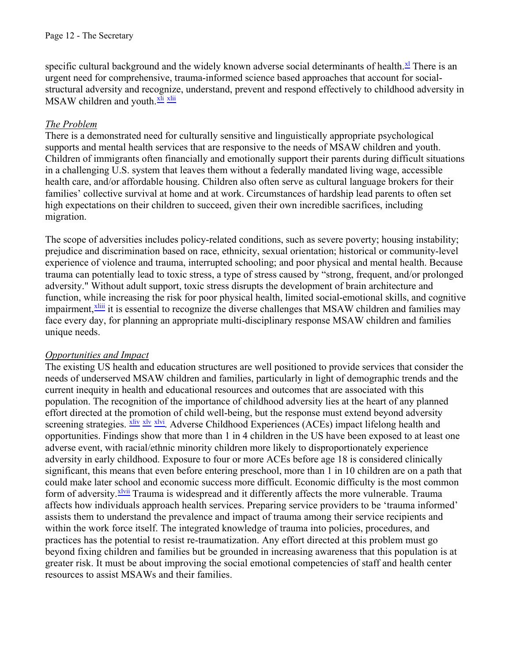specific cultural background and the widely known adverse social determinants of health.<sup>[xl](#page-15-8)</sup> There is an urgent need for comprehensive, trauma-informed science based approaches that account for socialstructural adversity and recognize, understand, prevent and respond effectively to childhood adversity in  $MSAW$  children and youth. $x<sup>li</sup> x<sup>li</sup>$ 

#### *The Problem*

There is a demonstrated need for culturally sensitive and linguistically appropriate psychological supports and mental health services that are responsive to the needs of MSAW children and youth. Children of immigrants often financially and emotionally support their parents during difficult situations in a challenging U.S. system that leaves them without a federally mandated living wage, accessible health care, and/or affordable housing. Children also often serve as cultural language brokers for their families' collective survival at home and at work. Circumstances of hardship lead parents to often set high expectations on their children to succeed, given their own incredible sacrifices, including migration.

The scope of adversities includes policy-related conditions, such as severe poverty; housing instability; prejudice and discrimination based on race, ethnicity, sexual orientation; historical or community-level experience of violence and trauma, interrupted schooling; and poor physical and mental health. Because trauma can potentially lead to toxic stress, a type of stress caused by "strong, frequent, and/or prolonged adversity." Without adult support, toxic stress disrupts the development of brain architecture and function, while increasing the risk for poor physical health, limited social-emotional skills, and cognitive impairment,<sup>[xliii](#page-15-3)</sup> it is essential to recognize the diverse challenges that MSAW children and families may face every day, for planning an appropriate multi-disciplinary response MSAW children and families unique needs.

#### *Opportunities and Impact*

The existing US health and education structures are well positioned to provide services that consider the needs of underserved MSAW children and families, particularly in light of demographic trends and the current inequity in health and educational resources and outcomes that are associated with this population. The recognition of the importance of childhood adversity lies at the heart of any planned effort directed at the promotion of child well-being, but the response must extend beyond adversity screening strategies. Xliv [xlv](#page-15-5) [xlvi](#page-15-6). Adverse Childhood Experiences (ACEs) impact lifelong health and opportunities. Findings show that more than 1 in 4 children in the US have been exposed to at least one adverse event, with racial/ethnic minority children more likely to disproportionately experience adversity in early childhood. Exposure to four or more ACEs before age 18 is considered clinically significant, this means that even before entering preschool, more than 1 in 10 children are on a path that could make later school and economic success more difficult. Economic difficulty is the most common form of adversity. *[xlvii](#page-15-7)* Trauma is widespread and it differently affects the more vulnerable. Trauma affects how individuals approach health services. Preparing service providers to be 'trauma informed' assists them to understand the prevalence and impact of trauma among their service recipients and within the work force itself. The integrated knowledge of trauma into policies, procedures, and practices has the potential to resist re-traumatization. Any effort directed at this problem must go beyond fixing children and families but be grounded in increasing awareness that this population is at greater risk. It must be about improving the social emotional competencies of staff and health center resources to assist MSAWs and their families.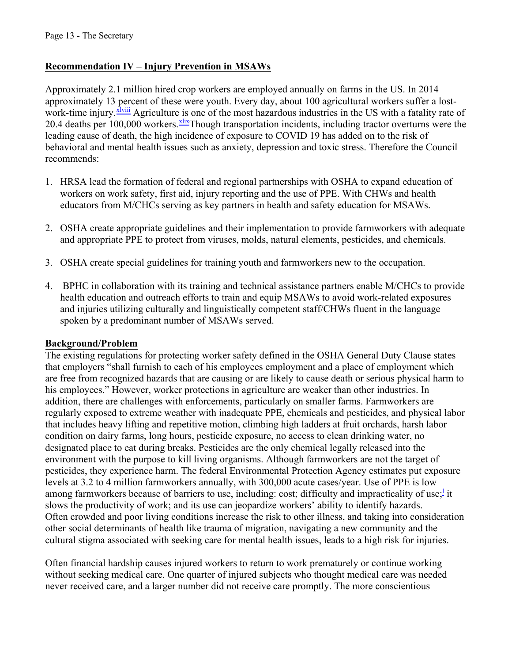#### **Recommendation IV – Injury Prevention in MSAWs**

Approximately 2.1 million hired crop workers are employed annually on farms in the US. In 2014 approximately 13 percent of these were youth. Every day, about 100 agricultural workers suffer a lostwork-time injury.<sup>[xlviii](#page-15-9)</sup> Agriculture is one of the most hazardous industries in the US with a fatality rate of 20.4 deaths per 100,000 workers. *xlix*Though transportation incidents, including tractor overturns were the leading cause of death, the high incidence of exposure to COVID 19 has added on to the risk of behavioral and mental health issues such as anxiety, depression and toxic stress. Therefore the Council recommends:

- 1. HRSA lead the formation of federal and regional partnerships with OSHA to expand education of workers on work safety, first aid, injury reporting and the use of PPE. With CHWs and health educators from M/CHCs serving as key partners in health and safety education for MSAWs.
- 2. OSHA create appropriate guidelines and their implementation to provide farmworkers with adequate and appropriate PPE to protect from viruses, molds, natural elements, pesticides, and chemicals.
- 3. OSHA create special guidelines for training youth and farmworkers new to the occupation.
- 4. BPHC in collaboration with its training and technical assistance partners enable M/CHCs to provide health education and outreach efforts to train and equip MSAWs to avoid work-related exposures and injuries utilizing culturally and linguistically competent staff/CHWs fluent in the language spoken by a predominant number of MSAWs served.

#### **Background/Problem**

The existing regulations for protecting worker safety defined in the OSHA General Duty Clause states that employers "shall furnish to each of his employees employment and a place of employment which are free from recognized hazards that are causing or are likely to cause death or serious physical harm to his employees." However, worker protections in agriculture are weaker than other industries. In addition, there are challenges with enforcements, particularly on smaller farms. Farmworkers are regularly exposed to extreme weather with inadequate PPE, chemicals and pesticides, and physical labor that includes heavy lifting and repetitive motion, climbing high ladders at fruit orchards, harsh labor condition on dairy farms, long hours, pesticide exposure, no access to clean drinking water, no designated place to eat during breaks. Pesticides are the only chemical legally released into the environment with the purpose to kill living organisms. Although farmworkers are not the target of pesticides, they experience harm. The federal Environmental Protection Agency estimates put exposure levels at 3.2 to 4 million farmworkers annually, with 300,000 acute cases/year. Use of PPE is low among farmworkers because of barriers to use, inc[l](#page-15-11)uding: cost; difficulty and impracticality of use;<sup>1</sup> it slows the productivity of work; and its use can jeopardize workers' ability to identify hazards. Often crowded and poor living conditions increase the risk to other illness, and taking into consideration other social determinants of health like trauma of migration, navigating a new community and the cultural stigma associated with seeking care for mental health issues, leads to a high risk for injuries.

Often financial hardship causes injured workers to return to work prematurely or continue working without seeking medical care. One quarter of injured subjects who thought medical care was needed never received care, and a larger number did not receive care promptly. The more conscientious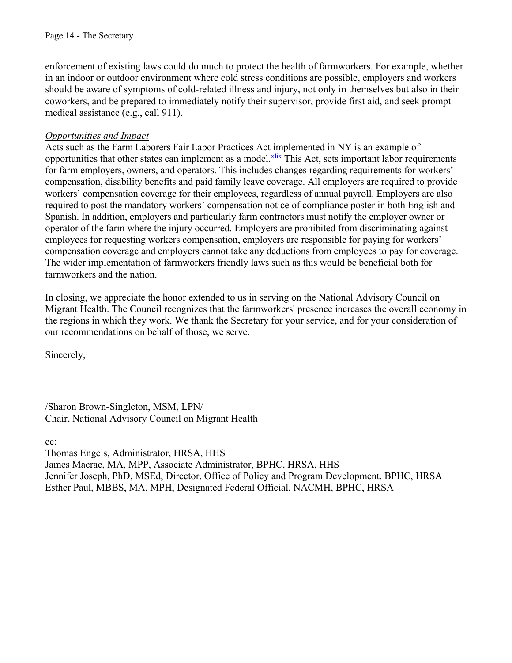enforcement of existing laws could do much to protect the health of farmworkers. For example, whether in an indoor or outdoor environment where cold stress conditions are possible, employers and workers should be aware of symptoms of cold-related illness and injury, not only in themselves but also in their coworkers, and be prepared to immediately notify their supervisor, provide first aid, and seek prompt medical assistance (e.g., call 911).

#### *Opportunities and Impact*

Acts such as the Farm Laborers Fair Labor Practices Act implemented in NY is an example of opportunities that other states can implement as a model. Xix This Act, sets important labor requirements for farm employers, owners, and operators. This includes changes regarding requirements for workers' compensation, disability benefits and paid family leave coverage. All employers are required to provide workers' compensation coverage for their employees, regardless of annual payroll. Employers are also required to post the mandatory workers' compensation notice of compliance poster in both English and Spanish. In addition, employers and particularly farm contractors must notify the employer owner or operator of the farm where the injury occurred. Employers are prohibited from discriminating against employees for requesting workers compensation, employers are responsible for paying for workers' compensation coverage and employers cannot take any deductions from employees to pay for coverage. The wider implementation of farmworkers friendly laws such as this would be beneficial both for farmworkers and the nation.

In closing, we appreciate the honor extended to us in serving on the National Advisory Council on Migrant Health. The Council recognizes that the farmworkers' presence increases the overall economy in the regions in which they work. We thank the Secretary for your service, and for your consideration of our recommendations on behalf of those, we serve.

Sincerely,

/Sharon Brown-Singleton, MSM, LPN/ Chair, National Advisory Council on Migrant Health

cc:

Thomas Engels, Administrator, HRSA, HHS James Macrae, MA, MPP, Associate Administrator, BPHC, HRSA, HHS Jennifer Joseph, PhD, MSEd, Director, Office of Policy and Program Development, BPHC, HRSA Esther Paul, MBBS, MA, MPH, Designated Federal Official, NACMH, BPHC, HRSA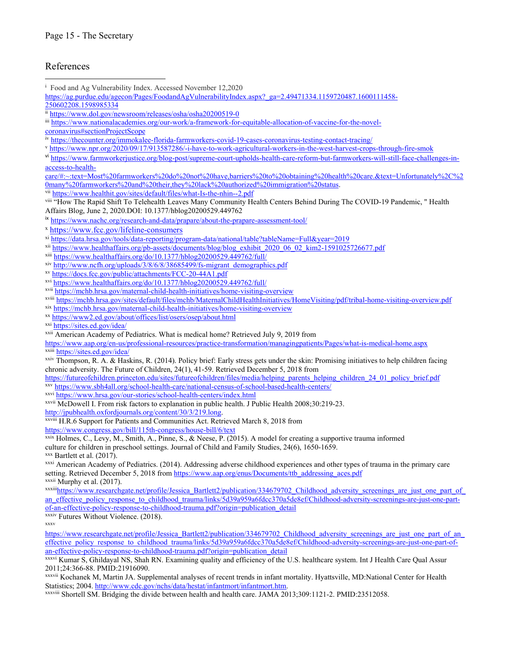#### References

- <span id="page-14-0"></span>i Food and Ag Vulnerability Index. Accessed November 12,2020  $\overline{a}$
- [https://ag.purdue.edu/agecon/Pages/FoodandAgVulnerabilityIndex.aspx?\\_ga=2.49471334.1159720487.1600111458-](https://ag.purdue.edu/agecon/Pages/FoodandAgVulnerabilityIndex.aspx?_ga=2.49471334.1159720487.1600111458-250602208.1598985334) 250602208.1598985334
- <span id="page-14-1"></span>ii https://www.dol.gov/newsroom/releases/osha/osha20200519-0
- <span id="page-14-3"></span>iii [https://www.nationalacademies.org/our-work/a-framework-for-equitable-allocation-of-vaccine-for-the-novel-](https://www.nationalacademies.org/our-work/a-framework-for-equitable-allocation-of-vaccine-for-the-novel-coronavirus#sectionProjectScope)
- <span id="page-14-2"></span>
- [coronavirus#sectionProjectScope](https://www.nationalacademies.org/our-work/a-framework-for-equitable-allocation-of-vaccine-for-the-novel-coronavirus#sectionProjectScope)
- <span id="page-14-5"></span>v https://www.npr.org/2020/09/17/913587286/-i-have-to-work-agricultural-workers-in-the-west-harvest-crops-through-fire-smok
- <span id="page-14-4"></span>vi https://www.farmworkerjustice.org/blog-post/supreme-court-upholds-health-care-reform-but-farmworkers-will-still-face-challenges-inaccess-to-health-
- [care/#:~:text=Most%20farmworkers%20do%20not%20have,barriers%20to%20obtaining%20health%20care.&text=Unfortunately%2C%2](https://www.farmworkerjustice.org/blog-post/supreme-court-upholds-health-care-reform-but-farmworkers-will-still-face-challenges-in-access-to-health-care/#:%7E:text=Most%20farmworkers%20do%20not%20have,barriers%20to%20obtaining%20health%20care.&text=Unfortunately%2C%20many%20farmworkers%20and%20their,they%20lack%20authorized%20immigration%20status)
- <span id="page-14-7"></span>
- <span id="page-14-6"></span>vii https://www.healthit.gov/sites/default/files/what-Is-the-nhin--2.pdf<br>viii "How The Rapid Shift To Telehealth Leaves Many Community Health Centers Behind During The COVID-19 Pandemic, "Health Affairs Blog, June 2, 2020.DOI: 10.1377/hblog20200529.449762
- <span id="page-14-8"></span>
- <span id="page-14-10"></span><span id="page-14-9"></span>
- iv https://www.nachc.org/research-and-data/prapare/about-the-prapare-assessment-tool/<br>x https://www.fcc.gov/lifeline-consumers<br>xi https://data.hrsa.gov/tools/data-reporting/program-data/national/table?tableName=Full&year=2
- <span id="page-14-11"></span>
- <span id="page-14-12"></span>
- <span id="page-14-13"></span>
- <span id="page-14-14"></span>
- <span id="page-14-15"></span>
- <span id="page-14-17"></span><span id="page-14-16"></span>
- xii https://www.healthaffairs.org/pb-assets/documents/blog/blog\_exhibit\_2020\_06\_02\_kim2-1591025726677.pdf<br>xii https://www.healthaffairs.org/do/10.1377/hblog20200529.449762/full/<br>x<sup>i</sup> http://www.healthaffairs.org/do/10.1377
- <span id="page-14-18"></span>
- <span id="page-14-19"></span>
- <span id="page-14-20"></span>
- <span id="page-14-22"></span>
- <span id="page-14-23"></span>https://www.aap.org/en-us/professional-resources/practice-transformation/managingpatients/Pages/what-is-medical-home.aspx<br>xxiii https://sites.ed.gov/idea/<br>xxiv Thompson, R. A. & Haskins, R. (2014). Policy brief: Early stre
- <span id="page-14-24"></span>chronic adversity. The Future of Children , 24(1), 41-59. Retrieved December 5, 2018 from
- https://futureofchildren.princeton.edu/sites/futureofchildren/files/media/helping\_parents\_helping\_children\_24\_01\_policy\_brief.pdf<br>xxv\_https://www.sbh4all.org/school-health-care/national-census-of-school-based-health-center
- <span id="page-14-26"></span><span id="page-14-25"></span>
- <span id="page-14-21"></span>xxvi https://www.hrsa.gov/our-stories/school-health-centers/index.html<br>xxvii McDowell I. From risk factors to explanation in public health. J Public Health 2008;30:219-23.<br>http://jpubhealth.oxfordjournals.org/content/30/3/
- <span id="page-14-27"></span>xxviii H.R.6 Support for Patients and Communities Act. Retrieved March 8, 2018 from
- <span id="page-14-28"></span>
- https://www.congress.gov/bill/115th-congress/house-bill/6/text<br>xxix Holmes, C., Levy, M., Smith, A., Pinne, S., & Neese, P. (2015). A model for creating a supportive trauma informed culture for children in preschool settings. Journal of Child and Family Studies, 24(6), 1650-1659. xxx Bartlett et al. (2017).
- <span id="page-14-30"></span><span id="page-14-29"></span>xxxi American Academy of Pediatrics. (2014). Addressing adverse childhood experiences and other types of trauma in the primary care setting. Retrieved December 5, 2018 from [https://www.aap.org/enus/Documents/ttb\\_addressing\\_aces.pdf](https://www.aap.org/en-us/Documents/ttb_addressing_aces.pdf) xxxii Murphy et al. (2017).
- <span id="page-14-33"></span><span id="page-14-31"></span>xxxiiihttps://www.researchgate.net/profile/Jessica\_Bartlett2/publication/334679702\_Childhood\_adversity\_screenings\_are\_just\_one\_part\_of\_ an\_effective\_policy\_response\_to\_childhood\_trauma/links/5d39a959a6fdcc370a5de8ef/Childhood-adversity-screenings-are-just-one-partof-an-effective-policy-response-to-childhood-trauma.pdf?origin=publication\_detail xxxiv Futures Without Violence. (2018).
- <span id="page-14-34"></span><span id="page-14-32"></span>xxxv
- https://www.researchgate.net/profile/Jessica\_Bartlett2/publication/334679702\_Childhood\_adversity\_screenings\_are\_just\_one\_part\_of\_an\_ effective\_policy\_response\_to\_childhood\_trauma/links/5d39a959a6fdcc370a5de8ef/Childhood-adversity-screenings-are-just-one-part-ofan-effective-policy-response-to-childhood-trauma.pdf?origin=publication\_detail xxxvi Kumar S, Ghildayal NS, Shah RN. Examining quality and efficiency of the U.S. healthcare system. Int J Health Care Qual Assur
- <span id="page-14-36"></span>2011;24:366-88. PMID:21916090.
- xxxvii Kochanek M, Martin JA. Supplemental analyses of recent trends in infant mortality. Hyattsville, MD:National Center for Health Statistics; 2004. http://www.cdc.gov/nchs/data/hestat/infantmort/infantmort.htm.<br>xxxviii Shortell SM. Bridging the divide between health and health care. JAMA 2013;309:1121-2. PMID:23512058.
- <span id="page-14-35"></span>